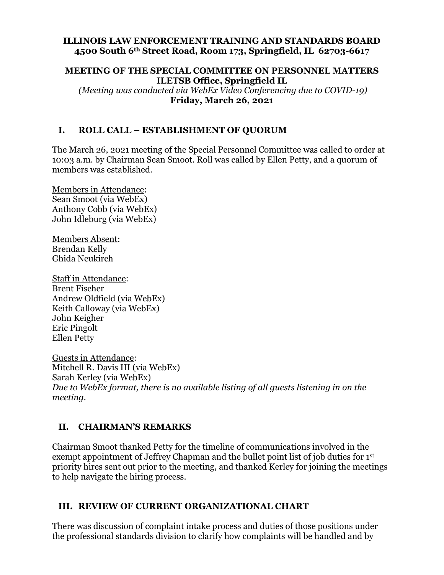#### **ILLINOIS LAW ENFORCEMENT TRAINING AND STANDARDS BOARD 4500 South 6th Street Road, Room 173, Springfield, IL 62703-6617**

## **MEETING OF THE SPECIAL COMMITTEE ON PERSONNEL MATTERS ILETSB Office, Springfield IL**

 *(Meeting was conducted via WebEx Video Conferencing due to COVID-19)*  **Friday, March 26, 2021** 

#### **I. ROLL CALL – ESTABLISHMENT OF QUORUM**

The March 26, 2021 meeting of the Special Personnel Committee was called to order at 10:03 a.m. by Chairman Sean Smoot. Roll was called by Ellen Petty, and a quorum of members was established.

Members in Attendance: Sean Smoot (via WebEx) Anthony Cobb (via WebEx) John Idleburg (via WebEx)

Members Absent: Brendan Kelly Ghida Neukirch

Staff in Attendance: Brent Fischer Andrew Oldfield (via WebEx) Keith Calloway (via WebEx) John Keigher Eric Pingolt Ellen Petty

Guests in Attendance: Mitchell R. Davis III (via WebEx) Sarah Kerley (via WebEx) *Due to WebEx format, there is no available listing of all guests listening in on the meeting.* 

#### **II. CHAIRMAN'S REMARKS**

Chairman Smoot thanked Petty for the timeline of communications involved in the exempt appointment of Jeffrey Chapman and the bullet point list of job duties for 1<sup>st</sup> priority hires sent out prior to the meeting, and thanked Kerley for joining the meetings to help navigate the hiring process.

#### **III. REVIEW OF CURRENT ORGANIZATIONAL CHART**

There was discussion of complaint intake process and duties of those positions under the professional standards division to clarify how complaints will be handled and by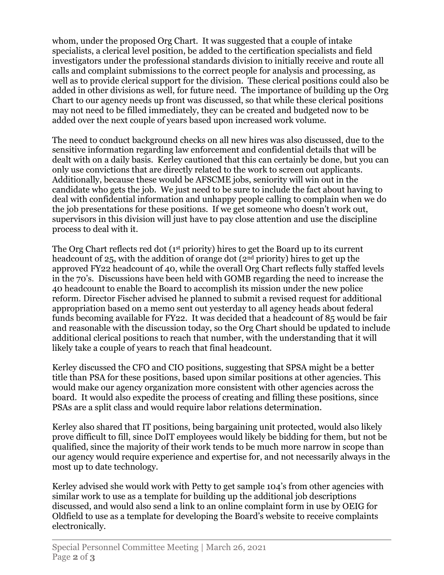whom, under the proposed Org Chart. It was suggested that a couple of intake specialists, a clerical level position, be added to the certification specialists and field investigators under the professional standards division to initially receive and route all calls and complaint submissions to the correct people for analysis and processing, as well as to provide clerical support for the division. These clerical positions could also be added in other divisions as well, for future need. The importance of building up the Org Chart to our agency needs up front was discussed, so that while these clerical positions may not need to be filled immediately, they can be created and budgeted now to be added over the next couple of years based upon increased work volume.

The need to conduct background checks on all new hires was also discussed, due to the sensitive information regarding law enforcement and confidential details that will be dealt with on a daily basis. Kerley cautioned that this can certainly be done, but you can only use convictions that are directly related to the work to screen out applicants. Additionally, because these would be AFSCME jobs, seniority will win out in the candidate who gets the job. We just need to be sure to include the fact about having to deal with confidential information and unhappy people calling to complain when we do the job presentations for these positions. If we get someone who doesn't work out, supervisors in this division will just have to pay close attention and use the discipline process to deal with it.

The Org Chart reflects red dot (1<sup>st</sup> priority) hires to get the Board up to its current headcount of 25, with the addition of orange dot (2nd priority) hires to get up the approved FY22 headcount of 40, while the overall Org Chart reflects fully staffed levels in the 70's. Discussions have been held with GOMB regarding the need to increase the 40 headcount to enable the Board to accomplish its mission under the new police reform. Director Fischer advised he planned to submit a revised request for additional appropriation based on a memo sent out yesterday to all agency heads about federal funds becoming available for FY22. It was decided that a headcount of 85 would be fair and reasonable with the discussion today, so the Org Chart should be updated to include additional clerical positions to reach that number, with the understanding that it will likely take a couple of years to reach that final headcount.

Kerley discussed the CFO and CIO positions, suggesting that SPSA might be a better title than PSA for these positions, based upon similar positions at other agencies. This would make our agency organization more consistent with other agencies across the board. It would also expedite the process of creating and filling these positions, since PSAs are a split class and would require labor relations determination.

Kerley also shared that IT positions, being bargaining unit protected, would also likely prove difficult to fill, since DoIT employees would likely be bidding for them, but not be qualified, since the majority of their work tends to be much more narrow in scope than our agency would require experience and expertise for, and not necessarily always in the most up to date technology.

Kerley advised she would work with Petty to get sample 104's from other agencies with similar work to use as a template for building up the additional job descriptions discussed, and would also send a link to an online complaint form in use by OEIG for Oldfield to use as a template for developing the Board's website to receive complaints electronically.